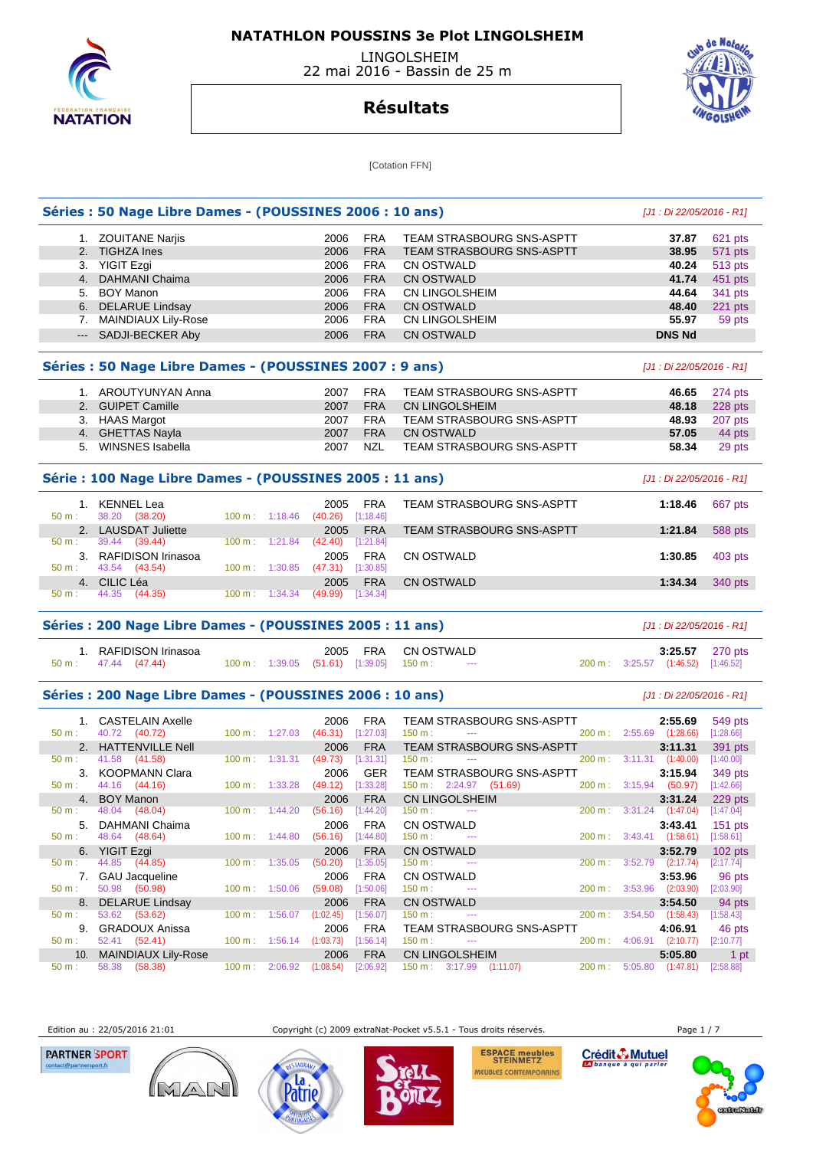

 LINGOLSHEIM 22 mai 2016 - Bassin de 25 m



## **Résultats**

[Cotation FFN]

|          | Séries : 50 Nage Libre Dames - (POUSSINES 2006 : 10 ans) |           |                                      |                             |                         |                                                     |                                    | $[J1:Di 22/05/2016 - R1]$ |                      |
|----------|----------------------------------------------------------|-----------|--------------------------------------|-----------------------------|-------------------------|-----------------------------------------------------|------------------------------------|---------------------------|----------------------|
|          | 1. ZOUITANE Nariis                                       |           |                                      | 2006                        | <b>FRA</b>              | TEAM STRASBOURG SNS-ASPTT                           |                                    | 37.87                     | 621 pts              |
|          | 2. TIGHZA Ines                                           |           |                                      | 2006                        | <b>FRA</b>              | TEAM STRASBOURG SNS-ASPTT                           |                                    | 38.95                     | 571 pts              |
|          | 3. YIGIT Ezgi                                            |           |                                      | 2006                        | <b>FRA</b>              | <b>CN OSTWALD</b>                                   |                                    | 40.24                     | 513 pts              |
|          | 4. DAHMANI Chaima                                        |           |                                      | 2006                        | <b>FRA</b>              | <b>CN OSTWALD</b>                                   |                                    | 41.74                     | 451 pts              |
|          | 5. BOY Manon                                             |           |                                      | 2006                        | <b>FRA</b>              | CN LINGOLSHEIM                                      |                                    | 44.64                     | 341 pts              |
|          | 6. DELARUE Lindsay                                       |           |                                      | 2006                        | <b>FRA</b>              | <b>CN OSTWALD</b>                                   |                                    | 48.40                     | 221 pts              |
|          | 7. MAINDIAUX Lily-Rose                                   |           |                                      | 2006                        | <b>FRA</b>              | CN LINGOLSHEIM                                      |                                    | 55.97                     | 59 pts               |
|          | --- SADJI-BECKER Aby                                     |           |                                      | 2006                        | <b>FRA</b>              | <b>CN OSTWALD</b>                                   |                                    | <b>DNS Nd</b>             |                      |
|          | Séries : 50 Nage Libre Dames - (POUSSINES 2007 : 9 ans)  |           |                                      |                             |                         |                                                     |                                    | [J1 : Di 22/05/2016 - R1] |                      |
|          | 1. AROUTYUNYAN Anna                                      |           |                                      | 2007                        | <b>FRA</b>              | TEAM STRASBOURG SNS-ASPTT                           |                                    | 46.65                     | 274 pts              |
|          | 2. GUIPET Camille                                        |           |                                      | 2007                        | <b>FRA</b>              | CN LINGOLSHEIM                                      |                                    | 48.18                     | 228 pts              |
|          | 3. HAAS Margot                                           |           |                                      | 2007                        | <b>FRA</b>              | TEAM STRASBOURG SNS-ASPTT                           |                                    | 48.93                     | 207 pts              |
|          | 4. GHETTAS Nayla                                         |           |                                      | 2007                        | <b>FRA</b>              | <b>CN OSTWALD</b>                                   |                                    | 57.05                     | 44 pts               |
|          | 5. WINSNES Isabella                                      |           |                                      | 2007                        | NZL                     | TEAM STRASBOURG SNS-ASPTT                           |                                    | 58.34                     | 29 pts               |
|          | Série : 100 Nage Libre Dames - (POUSSINES 2005 : 11 ans) |           |                                      |                             |                         |                                                     |                                    | [J1 : Di 22/05/2016 - R1] |                      |
| $50 m$ : | 1. KENNEL Lea<br>38.20 (38.20)                           |           | $100 \text{ m}: 1:18.46$             | 2005<br>(40.26)             | <b>FRA</b><br>[1:18.46] | TEAM STRASBOURG SNS-ASPTT                           |                                    | 1:18.46                   | 667 pts              |
|          | 2. LAUSDAT Juliette                                      |           |                                      | 2005                        | <b>FRA</b>              | TEAM STRASBOURG SNS-ASPTT                           |                                    | 1:21.84                   | 588 pts              |
| 50 m:    | 39.44 (39.44)                                            |           | $100 \text{ m}: 1:21.84$             | $(42.40)$ [1:21.84]         |                         |                                                     |                                    |                           |                      |
| 50 m:    | 3. RAFIDISON Irinasoa<br>43.54 (43.54)                   |           | $100 \text{ m}: 1:30.85$             | 2005<br>$(47.31)$ [1:30.85] | <b>FRA</b>              | <b>CN OSTWALD</b>                                   |                                    | 1:30.85                   | 403 pts              |
|          | 4. CILIC Léa                                             |           |                                      | 2005                        | <b>FRA</b>              | <b>CN OSTWALD</b>                                   |                                    | 1:34.34                   | 340 pts              |
| 50 m:    | 44.35<br>(44.35)                                         |           | $100 \text{ m}: 1:34.34$             | (49.99)                     | [1:34.34]               |                                                     |                                    |                           |                      |
|          | Séries: 200 Nage Libre Dames - (POUSSINES 2005 : 11 ans) |           |                                      |                             |                         |                                                     |                                    | $[J1:Di 22/05/2016 - R1]$ |                      |
| 50 m:    | 1. RAFIDISON Irinasoa<br>47.44 (47.44)                   |           | 100 m: 1:39.05 (51.61) [1:39.05]     | 2005                        | FRA                     | <b>CN OSTWALD</b><br>150 m:<br>$\sim$ $\sim$ $\sim$ | 200 m: 3:25.57 (1:46.52)           | 3:25.57                   | 270 pts<br>[1:46.52] |
|          | Séries: 200 Nage Libre Dames - (POUSSINES 2006 : 10 ans) |           |                                      |                             |                         |                                                     |                                    | $[J1:Di 22/05/2016 - R1]$ |                      |
|          | 1. CASTELAIN Axelle                                      |           |                                      | 2006                        | <b>FRA</b>              | TEAM STRASBOURG SNS-ASPTT                           |                                    | 2:55.69                   | 549 pts              |
| 50 m:    | 40.72 (40.72)                                            |           | 100 m: 1:27.03                       | $(46.31)$ [1:27.03]         |                         | 150 m:<br>$\sim$ $\sim$                             | 200 m: 2:55.69 (1:28.66)           |                           | [1:28.66]            |
|          | 2. HATTENVILLE Nell                                      |           |                                      | 2006                        | <b>FRA</b>              | TEAM STRASBOURG SNS-ASPTT                           |                                    | 3:11.31                   | 391 pts              |
| 50 m:    | 41.58 (41.58)                                            |           | $100 \text{ m}: 1:31.31$             | $(49.73)$ [1:31.31]         |                         | $150 m$ :<br>$\cdots$                               | 200 m:                             | $3:11.31$ $(1:40.00)$     | [1:40.00]            |
|          | 3. KOOPMANN Clara                                        |           |                                      | 2006                        | <b>GER</b>              | <b>TEAM STRASBOURG SNS-ASPTT</b>                    |                                    | 3:15.94                   | 349 pts              |
| 50 m:    | 44.16 (44.16)                                            |           | 100 m: 1:33.28                       | $(49.12)$ [1:33.28]         |                         | 150 m : 2:24.97 (51.69)                             | 200 m: 3:15.94 (50.97)             |                           | [1:42.66]            |
| 50 m :   | 4. BOY Manon<br>48.04 (48.04)                            |           | 100 m: 1:44.20 (56.16) [1:44.20]     | 2006                        | <b>FRA</b>              | <b>CN LINGOLSHEIM</b><br>150 m :                    | 200 m: 3:31.24 (1:47.04) [1:47.04] | 3:31.24                   | 229 pts              |
|          | 5. DAHMANI Chaima                                        |           |                                      | 2006                        | FRA                     | CN OSTWALD                                          |                                    | 3:43.41                   | $151$ pts            |
| 50 m:    | 48.64 (48.64)                                            |           | $100 \text{ m}: 1:44.80 (56.16)$     |                             | [1:44.80]               | 150 m:<br>$\scriptstyle\cdots$                      | $200 \text{ m}: 3:43.41 (1:58.61)$ |                           | [1:58.61]            |
|          | 6. YIGIT Ezgi                                            |           |                                      | 2006                        | <b>FRA</b>              | <b>CN OSTWALD</b>                                   |                                    | 3:52.79                   | $102$ pts            |
| 50 m:    | 44.85 (44.85)                                            | $100 m$ : | 1:35.05                              | (50.20)                     | [1:35.05]               | 150 m:<br>$\sim$                                    | 200 m:                             | $3:52.79$ $(2:17.74)$     | [2:17.74]            |
|          | 7. GAU Jacqueline                                        |           |                                      | 2006                        | <b>FRA</b>              | CN OSTWALD                                          |                                    | 3:53.96                   | 96 pts               |
| 50 m:    | 50.98 (50.98)                                            |           | 100 m: 1:50.06                       | (59.08)                     | [1:50.06]               | 150 m:<br>$\sim$                                    | 200 m : 3:53.96 (2:03.90)          |                           | $[2:03.90]$          |
| 8.       | <b>DELARUE Lindsay</b>                                   |           |                                      | 2006                        | <b>FRA</b>              | <b>CN OSTWALD</b>                                   |                                    | 3:54.50                   | 94 pts               |
| 50 m:    | 53.62 (53.62)                                            | 100 m:    |                                      | $1:56.07$ $(1:02.45)$       | [1:56.07]               | 150 m:<br>$\cdots$                                  | 200 m:                             | $3:54.50$ $(1:58.43)$     | [1:58.43]            |
|          | 9. GRADOUX Anissa                                        |           |                                      | 2006                        | <b>FRA</b>              | <b>TEAM STRASBOURG SNS-ASPTT</b>                    |                                    | 4:06.91                   | 46 pts               |
| 50 m:    | 52.41 (52.41)                                            |           | $100 \text{ m}: 1:56.14 (1:03.73)$   |                             | [1:56.14]               | 150 m:                                              | 200 m:                             | 4:06.91 (2:10.77)         | [2:10.77]            |
| 10.      | <b>MAINDIAUX Lily-Rose</b><br>58.38 (58.38)              |           |                                      | 2006                        | <b>FRA</b><br>[2:06.92] | <b>CN LINGOLSHEIM</b><br>(1:11.07)                  |                                    | 5:05.80                   | 1 pt                 |
| 50 m:    |                                                          |           | $100 \text{ m}: 2:06.92$ $(1:08.54)$ |                             |                         | $150 \text{ m}: 3:17.99$                            | 200 m:                             | $5:05.80$ $(1:47.81)$     | [2:58.88]            |

Edition au : 22/05/2016 21:01 Copyright (c) 2009 extraNat-Pocket v5.5.1 - Tous droits réservés. Page 1 / 7

**PARTNER SPORT** 







ESPACE meubles<br>STEINMETZ MEUBLES CONTEMPORAINS Crédit & Mutuel

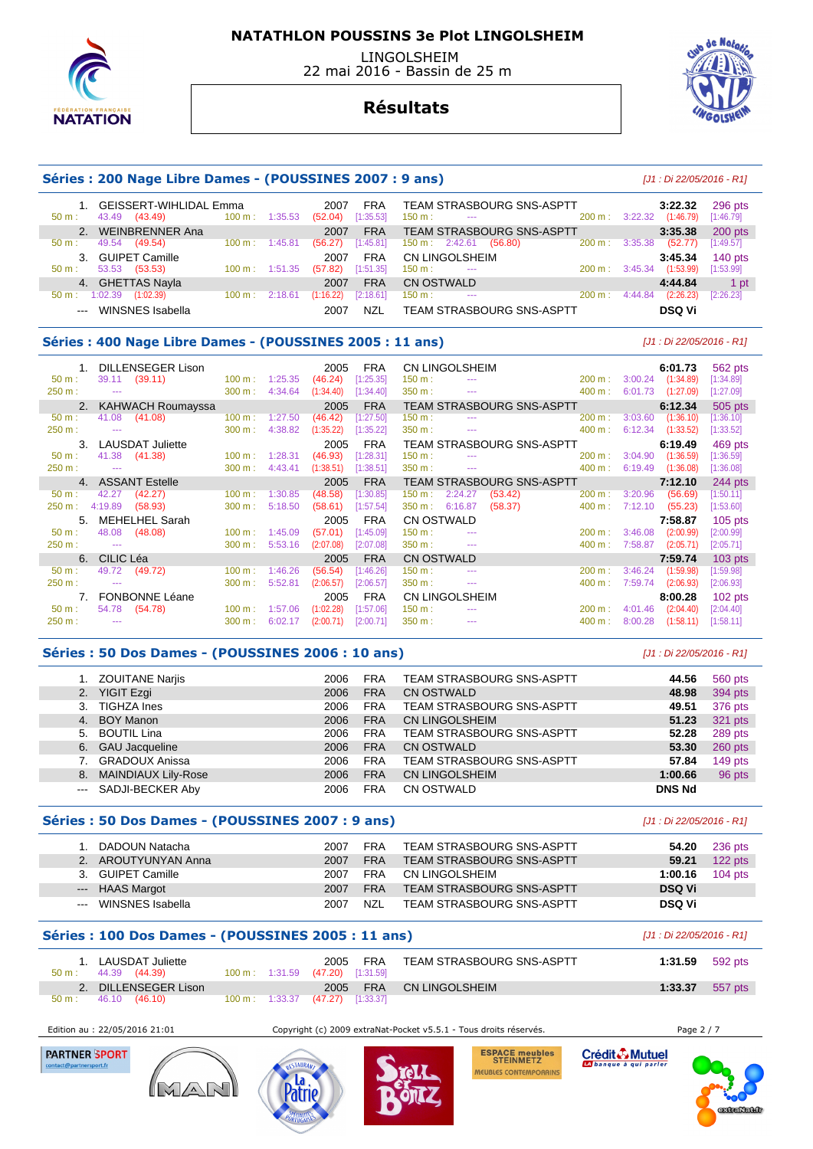

 LINGOLSHEIM 22 mai 2016 - Bassin de 25 m



## **Résultats**

#### **Séries : 200 Nage Libre Dames - (POUSSINES 2007 : 9 ans)** [J1 : Di 22/05/2016 - R1]

| GEISSERT-WIHLIDAL Emma<br>(43.49)<br>43.49<br>50 m: | $100 \text{ m}$ :<br>1:35.53 | 2007<br><b>FRA</b><br>[1:35.53]<br>(52.04) | TEAM STRASBOURG SNS-ASPTT<br>$150 \text{ m}$ :<br>$\sim$ $\sim$ | $200 \text{ m}$ :<br>3:22.32 | 3:22.32<br>(1:46.79) | 296 pts<br>[1:46.79] |
|-----------------------------------------------------|------------------------------|--------------------------------------------|-----------------------------------------------------------------|------------------------------|----------------------|----------------------|
| 2. WEINBRENNER Ana                                  |                              | <b>FRA</b><br>2007                         | <b>TEAM STRASBOURG SNS-ASPTT</b>                                |                              | 3:35.38              | $200$ pts            |
| 49.54<br>(49.54)<br>50 m:                           | $100 \text{ m}$ :<br>1:45.81 | [1:45.81]<br>(56.27)                       | 150 m : 2:42.61<br>(56.80)                                      | 3:35.38<br>200 m:            | (52.77)              | [1:49.57]            |
| 3. GUIPET Camille                                   |                              | <b>FRA</b><br>2007                         | CN LINGOLSHEIM                                                  |                              | 3:45.34              | $140$ pts            |
| 53.53<br>(53.53)<br>$50 \text{ m}$ :                | $100 \text{ m}$ :<br>1:51.35 | [1:51.35]<br>(57.82)                       | $150 \text{ m}$ :<br>$- - -$                                    | 3:45.34<br>200 m:            | (1:53.99)            | [1:53.99]            |
| 4. GHETTAS Nayla                                    |                              | <b>FRA</b><br>2007                         | CN OSTWALD                                                      |                              | 4:44.84              | 1 pt                 |
| 1:02.39<br>(1:02.39)<br>$50 m$ :                    | 100 m:<br>2:18.61            | [2:18.61]<br>(1:16.22)                     | $150 \text{ m}$ :<br>$- - -$                                    | 4:44.84<br>200 m:            | (2:26.23)            | [2:26.23]            |
| WINSNES Isabella                                    |                              | NZL<br>2007                                | <b>TEAM STRASBOURG SNS-ASPTT</b>                                |                              | <b>DSQ Vi</b>        |                      |

#### **Séries : 400 Nage Libre Dames - (POUSSINES 2005 : 11 ans)** [J1 : Di 22/05/2016 - R1]

|          | DILLENSEGER Lison       |                   |         | 2005      | <b>FRA</b> |                   | CN LINGOLSHEIM                                                                                 |                                                 |           |         | 6:01.73   | 562 pts   |
|----------|-------------------------|-------------------|---------|-----------|------------|-------------------|------------------------------------------------------------------------------------------------|-------------------------------------------------|-----------|---------|-----------|-----------|
| 50 m:    | (39.11)<br>39.11        | $100 \text{ m}$ : | 1:25.35 | (46.24)   | [1:25.35]  | 150 m :           | $\cdots$                                                                                       |                                                 | 200 m:    | 3:00.24 | (1:34.89) | [1:34.89] |
| 250 m:   |                         | 300 m:            | 4:34.64 | (1:34.40) | [1:34.40]  | 350 m:            | $\sim$ $\sim$ $\sim$                                                                           |                                                 | 400 m:    | 6:01.73 | (1:27.09) | [1:27.09] |
|          | 2. KAHWACH Roumayssa    |                   |         | 2005      | <b>FRA</b> |                   |                                                                                                | TEAM STRASBOURG SNS-ASPTT                       |           |         | 6:12.34   | 505 pts   |
| $50 m$ : | 41.08<br>(41.08)        | 100 m:            | 1:27.50 | (46.42)   | [1:27.50]  | 150 m :           | $\sim$ $\sim$                                                                                  |                                                 | 200 m:    | 3:03.60 | (1:36.10) | 1:36.10   |
| 250 m:   | $\sim$                  | 300 m:            | 4:38.82 | (1:35.22) | [1:35.22]  | 350 m:            |                                                                                                | the contract of the contract of the contract of | 400 m:    | 6:12.34 | (1:33.52) | [1:33.52] |
| 3.       | <b>LAUSDAT Juliette</b> |                   |         | 2005      | <b>FRA</b> |                   |                                                                                                | TEAM STRASBOURG SNS-ASPTT                       |           |         | 6:19.49   | 469 pts   |
| 50 m:    | (41.38)<br>41.38        | $100 \text{ m}$ : | 1:28.31 | (46.93)   | [1:28.31]  | 150 m:            | $\sim$ $\sim$ $\sim$                                                                           |                                                 | 200 m:    | 3:04.90 | (1:36.59) | [1:36.59] |
| 250 m:   | $\sim$                  | 300 m:            | 4:43.41 | (1:38.51) | [1:38.51]  | 350 m:            | $\sim$                                                                                         |                                                 | 400 m:    | 6:19.49 | (1:36.08) | [1:36.08] |
|          | 4. ASSANT Estelle       |                   |         | 2005      | <b>FRA</b> |                   |                                                                                                | <b>TEAM STRASBOURG SNS-ASPTT</b>                |           |         | 7:12.10   | 244 pts   |
| $50 m$ : | (42.27)<br>42.27        | 100 m:            | 1:30.85 | (48.58)   | [1:30.85]  | 150 m :           | 2:24.27                                                                                        | (53.42)                                         | 200 m:    | 3:20.96 | (56.69)   | [1:50.11] |
| 250 m:   | 4:19.89<br>(58.93)      | 300 m:            | 5:18.50 | (58.61)   | [1:57.54]  | 350 m:            | 6:16.87                                                                                        | (58.37)                                         | 400 m:    | 7:12.10 | (55.23)   | [1:53.60] |
| 5.       | MEHELHEL Sarah          |                   |         | 2005      | <b>FRA</b> | <b>CN OSTWALD</b> |                                                                                                |                                                 |           |         | 7:58.87   | $105$ pts |
| $50 m$ : | (48.08)<br>48.08        | 100 m:            | 1:45.09 | (57.01)   | [1:45.09]  | $150 m$ :         |                                                                                                |                                                 | $200 m$ : | 3:46.08 | (2:00.99) | [2:00.99] |
| 250 m:   | $\sim$ $\sim$           | 300 m:            | 5:53.16 | (2:07.08) | [2:07.08]  | 350 m :           | $\sim$ $\sim$ $\sim$                                                                           |                                                 | 400 m:    | 7:58.87 | (2:05.71) | [2:05.71] |
|          | 6. CILIC Léa            |                   |         | 2005      | <b>FRA</b> | <b>CN OSTWALD</b> |                                                                                                |                                                 |           |         | 7:59.74   | $103$ pts |
| $50 m$ : | 49.72<br>(49.72)        | 100 m:            | 1:46.26 | (56.54)   | [1:46.26]  | 150 m:            | $\frac{1}{2} \left( \frac{1}{2} \right) \left( \frac{1}{2} \right) \left( \frac{1}{2} \right)$ |                                                 | 200 m:    | 3:46.24 | (1:59.98) | [1:59.98] |
| 250 m:   | $\sim$ $\sim$           | 300 m:            | 5:52.81 | (2:06.57) | [2:06.57]  | 350 m:            | $\cdots$                                                                                       |                                                 | 400 m:    | 7:59.74 | (2:06.93) | [2:06.93] |
| 7.       | FONBONNE Léane          |                   |         | 2005      | <b>FRA</b> |                   | CN LINGOLSHEIM                                                                                 |                                                 |           |         | 8:00.28   | $102$ pts |
| $50 m$ : | 54.78<br>(54.78)        | 100 m:            | 1:57.06 | (1:02.28) | [1:57.06]  | $150 m$ :         |                                                                                                |                                                 | 200 m:    | 4:01.46 | (2:04.40) | [2:04.40] |
| 250 m:   | $\sim$ $\sim$           | 300 m:            | 6:02.17 | (2:00.71) | [2:00.71]  | 350 m:            | $\cdots$                                                                                       |                                                 | 400 m:    | 8:00.28 | (1:58.11) | [1:58.11] |

#### **Séries : 50 Dos Dames - (POUSSINES 2006 : 10 ans)** [J1 : Di 22/05/2016 - R1]

|    | <b>ZOUITANE Narjis</b> | 2006 | <b>FRA</b> | TEAM STRASBOURG SNS-ASPTT        | 44.56         | 560 pts   |
|----|------------------------|------|------------|----------------------------------|---------------|-----------|
|    | 2. YIGIT Ezgi          | 2006 | <b>FRA</b> | <b>CN OSTWALD</b>                | 48.98         | 394 pts   |
| 3. | TIGHZA Ines            | 2006 | <b>FRA</b> | <b>TEAM STRASBOURG SNS-ASPTT</b> | 49.51         | 376 pts   |
|    | 4. BOY Manon           | 2006 | <b>FRA</b> | <b>CN LINGOLSHEIM</b>            | 51.23         | 321 pts   |
|    | 5. BOUTIL Lina         | 2006 | <b>FRA</b> | <b>TEAM STRASBOURG SNS-ASPTT</b> | 52.28         | 289 pts   |
|    | 6. GAU Jacqueline      | 2006 | <b>FRA</b> | <b>CN OSTWALD</b>                | 53.30         | $260$ pts |
|    | <b>GRADOUX Anissa</b>  | 2006 | <b>FRA</b> | TEAM STRASBOURG SNS-ASPTT        | 57.84         | $149$ pts |
|    | 8. MAINDIAUX Lily-Rose | 2006 | <b>FRA</b> | <b>CN LINGOLSHEIM</b>            | 1:00.66       | 96 pts    |
|    | --- SADJI-BECKER Aby   | 2006 | <b>FRA</b> | CN OSTWALD                       | <b>DNS Nd</b> |           |

#### **Séries : 50 Dos Dames - (POUSSINES 2007 : 9 ans)** [J1 : Di 22/05/2016 - R1]

|               | DADOUN Natacha      | 2007 | FRA        | TEAM STRASBOURG SNS-ASPTT | 54.20         | 236 pts   |
|---------------|---------------------|------|------------|---------------------------|---------------|-----------|
|               | 2. AROUTYUNYAN Anna | 2007 | <b>FRA</b> | TEAM STRASBOURG SNS-ASPTT | 59.21         | $122$ pts |
|               | 3. GUIPET Camille   | 2007 | FRA        | CN LINGOLSHEIM            | 1:00.16       | $104$ pts |
|               | --- HAAS Margot     | 2007 | <b>FRA</b> | TEAM STRASBOURG SNS-ASPTT | <b>DSQ Vi</b> |           |
| $\sim$ $\sim$ | WINSNES Isabella    | 2007 | N71        | TEAM STRASBOURG SNS-ASPTT | <b>DSQ Vi</b> |           |

### **Séries : 100 Dos Dames - (POUSSINES 2005 : 11 ans)** [J1 : Di 22/05/2016 - R1]

| $50 \text{ m}$ : | 1. LAUSDAT Juliette<br>44.39 (44.39) |                          | FRA<br>2005<br>100 m : $1:31.59$ (47.20) [1:31.59] | TEAM STRASBOURG SNS-ASPTT | 1:31.59 | 592 pts |
|------------------|--------------------------------------|--------------------------|----------------------------------------------------|---------------------------|---------|---------|
|                  | 2. DILLENSEGER Lison                 |                          | <b>FRA</b><br>2005                                 | CN LINGOLSHEIM            | 1:33.37 | 557 pts |
| $50 m$ :         | 46.10 (46.10)                        | $100 \text{ m}: 1:33.37$ | $(47.27)$ [1:33.37]                                |                           |         |         |

**PARTNER SPORT** 

Edition au : 22/05/2016 21:01 Copyright (c) 2009 extraNat-Pocket v5.5.1 - Tous droits réservés. Page 2 / 7



am

Crédit & Mutuel **ESPACE meubles<br>STEINMETZ** MEUBLES CONTEMPORAINS

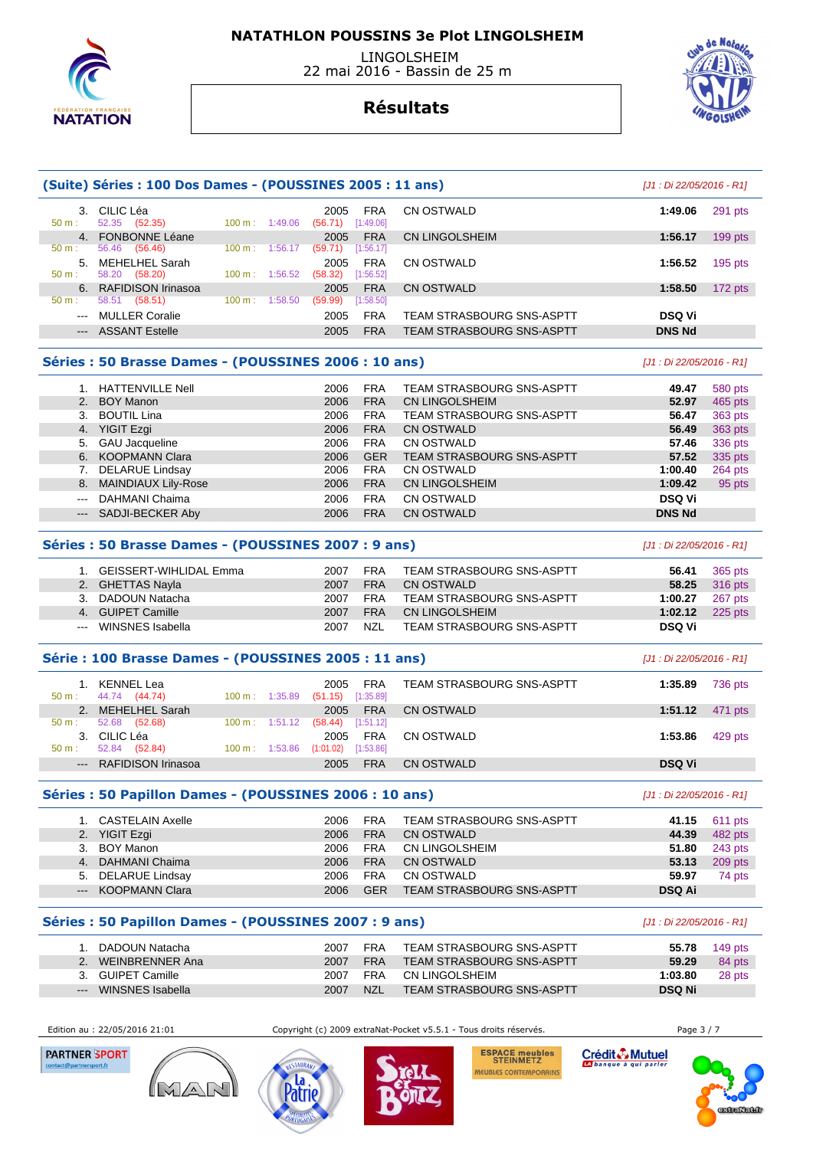

 LINGOLSHEIM 22 mai 2016 - Bassin de 25 m

## **Résultats**

| 3. CILIC Léa<br>CN OSTWALD<br><b>FRA</b><br>291 pts<br>1:49.06<br>2005                                    |           |
|-----------------------------------------------------------------------------------------------------------|-----------|
| (52.35)<br>$50 m$ :<br>52.35<br>[1:49.06]<br>(56.71)<br>$100 \text{ m}$ :<br>1:49.06                      |           |
| <b>FONBONNE Léane</b><br><b>FRA</b><br>CN LINGOLSHEIM<br>1:56.17<br>2005<br>4 <sup>1</sup>                | $199$ pts |
| 56.46<br>(56.46)<br>[1:56.17]<br>$50 m$ :<br>(59.71)<br>100 m:<br>1:56.17                                 |           |
| MEHELHEL Sarah<br><b>FRA</b><br>CN OSTWALD<br>5.<br>1:56.52<br>2005                                       | $195$ pts |
| $50 m$ :<br>58.20<br>(58.20)<br>(58.32)<br>1:56.52<br>[1:56.52]<br>100 m:                                 |           |
| 6. RAFIDISON Irinasoa<br><b>FRA</b><br>CN OSTWALD<br>1:58.50<br>2005                                      | 172 pts   |
| (58.51)<br>(59.99)<br>$50 m$ :<br>58.51<br>100 m:<br>1:58.50<br>[1:58.50]                                 |           |
| <b>FRA</b><br><b>DSQ Vi</b><br><b>MULLER Coralie</b><br>2005<br>TEAM STRASBOURG SNS-ASPTT<br>$  -$        |           |
| <b>FRA</b><br><b>DNS Nd</b><br><b>ASSANT Estelle</b><br><b>TEAM STRASBOURG SNS-ASPTT</b><br>2005<br>$---$ |           |

#### **Séries : 50 Brasse Dames - (POUSSINES 2006 : 10 ans)** [J1 : Di 22/05/2016 - R1]

|                      | 1. HATTENVILLE Nell    | 2006 | <b>FRA</b> | <b>TEAM STRASBOURG SNS-ASPTT</b> | 49.47         | 580 pts |
|----------------------|------------------------|------|------------|----------------------------------|---------------|---------|
|                      | 2. BOY Manon           | 2006 | <b>FRA</b> | <b>CN LINGOLSHEIM</b>            | 52.97         | 465 pts |
|                      | 3. BOUTIL Lina         | 2006 | <b>FRA</b> | TEAM STRASBOURG SNS-ASPTT        | 56.47         | 363 pts |
|                      | 4. YIGIT Ezgi          | 2006 | <b>FRA</b> | <b>CN OSTWALD</b>                | 56.49         | 363 pts |
|                      | 5. GAU Jacqueline      | 2006 | <b>FRA</b> | <b>CN OSTWALD</b>                | 57.46         | 336 pts |
|                      | 6. KOOPMANN Clara      | 2006 | <b>GER</b> | TEAM STRASBOURG SNS-ASPTT        | 57.52         | 335 pts |
|                      | 7. DELARUE Lindsay     | 2006 | <b>FRA</b> | CN OSTWALD                       | 1:00.40       | 264 pts |
|                      | 8. MAINDIAUX Lily-Rose | 2006 | <b>FRA</b> | <b>CN LINGOLSHEIM</b>            | 1:09.42       | 95 pts  |
| $\sim$ $\sim$ $\sim$ | DAHMANI Chaima         | 2006 | <b>FRA</b> | <b>CN OSTWALD</b>                | <b>DSQ Vi</b> |         |
|                      | --- SADJI-BECKER Aby   | 2006 | <b>FRA</b> | <b>CN OSTWALD</b>                | <b>DNS Nd</b> |         |

#### **Séries : 50 Brasse Dames - (POUSSINES 2007 : 9 ans)** [J1 : Di 22/05/2016 - R1]

| 1. GEISSERT-WIHLIDAL Emma | 2007 | FRA        | TEAM STRASBOURG SNS-ASPTT | 56.41   | 365 pts |
|---------------------------|------|------------|---------------------------|---------|---------|
| 2. GHETTAS Nayla          | 2007 | <b>FRA</b> | CN OSTWALD                | 58.25   | 316 pts |
| 3. DADOUN Natacha         | 2007 | <b>FRA</b> | TEAM STRASBOURG SNS-ASPTT | 1:00.27 | 267 pts |
| 4. GUIPET Camille         | 2007 | <b>FRA</b> | CN LINGOLSHEIM            | 1:02.12 | 225 pts |
| --- WINSNES Isabella      | 2007 | NZL        | TEAM STRASBOURG SNS-ASPTT | DSQ Vi  |         |

#### **Série : 100 Brasse Dames - (POUSSINES 2005 : 11 ans)** [J1 : Di 22/05/2016 - R1]

| 50 m:    | KENNEL Lea<br>44.74 (44.74) | $100 \text{ m}: 1:35.89$  | 2005<br>(51.15)     | <b>FRA</b><br>[1:35.89] | TEAM STRASBOURG SNS-ASPTT | 1:35.89       | 736 pts |
|----------|-----------------------------|---------------------------|---------------------|-------------------------|---------------------------|---------------|---------|
|          | 2. MEHELHEL Sarah           |                           | 2005                | <b>FRA</b>              | CN OSTWALD                | 1:51.12       | 471 pts |
| $50 m$ : | 52.68 (52.68)               | $100 \text{ m}: 1:51.12$  | $(58.44)$ [1:51.12] |                         |                           |               |         |
| 3.       | CILIC Léa                   |                           | 2005                | <b>FRA</b>              | CN OSTWALD                | 1:53.86       | 429 pts |
| $50 m$ : | 52.84 (52.84)               | $100 \text{ m}$ : 1:53.86 | (1:01.02)           | [1:53.86]               |                           |               |         |
|          | --- RAFIDISON Irinasoa      |                           | 2005                | <b>FRA</b>              | CN OSTWALD                | <b>DSQ Vi</b> |         |

#### **Séries : 50 Papillon Dames - (POUSSINES 2006 : 10 ans)** [J1 : Di 22/05/2016 - R1]

| 1. CASTELAIN Axelle | 2006 | <b>FRA</b> | TEAM STRASBOURG SNS-ASPTT |               | 41.15 611 pts |
|---------------------|------|------------|---------------------------|---------------|---------------|
| 2. YIGIT Ezgi       | 2006 | <b>FRA</b> | CN OSTWALD                | 44.39         | 482 pts       |
| 3. BOY Manon        | 2006 | <b>FRA</b> | CN LINGOLSHEIM            | 51.80         | 243 pts       |
| 4. DAHMANI Chaima   | 2006 | <b>FRA</b> | CN OSTWALD                | 53.13         | 209 pts       |
| 5. DELARUE Lindsay  | 2006 | <b>FRA</b> | CN OSTWALD                | 59.97         | 74 pts        |
| --- KOOPMANN Clara  | 2006 | <b>GER</b> | TEAM STRASBOURG SNS-ASPTT | <b>DSQ Ai</b> |               |

#### **Séries : 50 Papillon Dames - (POUSSINES 2007 : 9 ans)** [J1 : Di 22/05/2016 - R1]

|       | DADOUN Natacha    | 2007 | <b>FRA</b> | TEAM STRASBOURG SNS-ASPTT | 55.78         | 149 $pts$ |
|-------|-------------------|------|------------|---------------------------|---------------|-----------|
|       | WEINBRENNER Ana   | 2007 | <b>FRA</b> | TEAM STRASBOURG SNS-ASPTT | 59.29         | 84 pts    |
|       | 3. GUIPET Camille | 2007 | FRA        | CN LINGOLSHEIM            | 1:03.80       | 28 pts    |
| $---$ | WINSNES Isabella  | 2007 | <b>NZL</b> | TEAM STRASBOURG SNS-ASPTT | <b>DSQ Ni</b> |           |







'atrı

**ESPACE meubles<br>STEINMETZ** MEUBLES CONTEMPORAINS Crédit & Mutuel



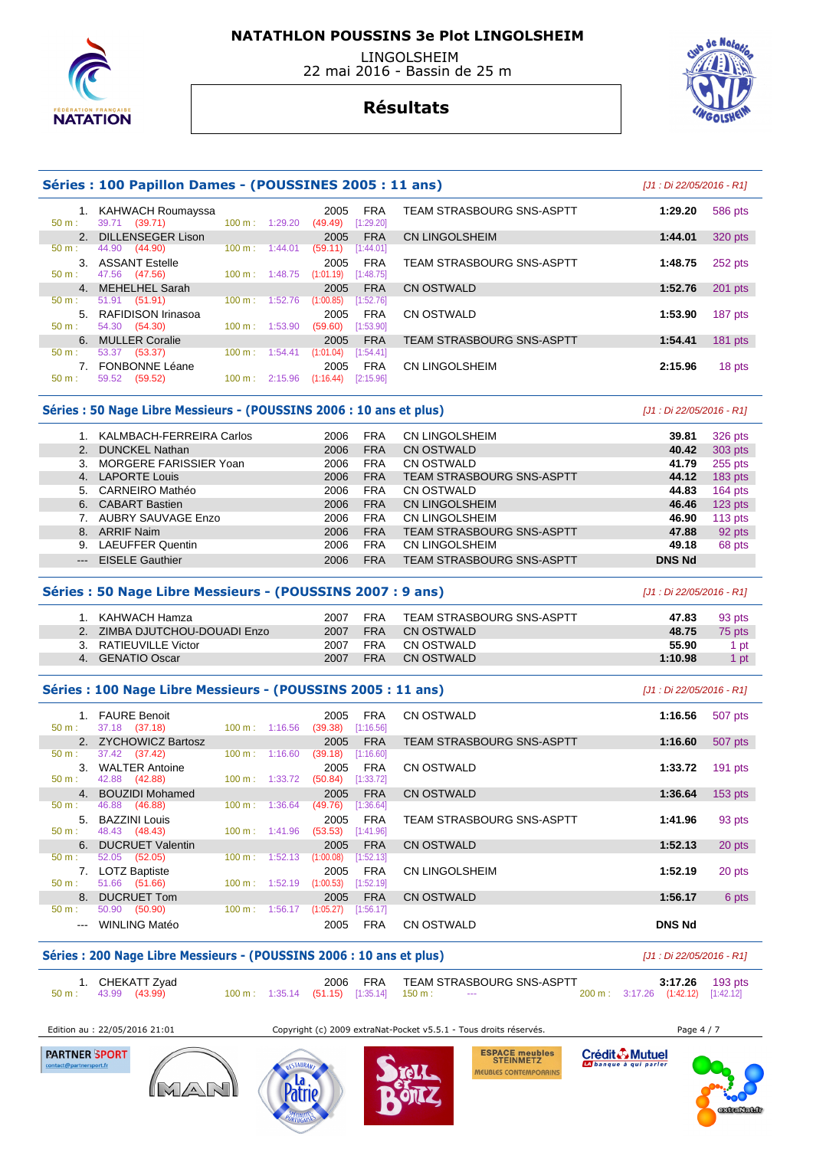

 LINGOLSHEIM 22 mai 2016 - Bassin de 25 m

## **Résultats**



|                  | Séries : 100 Papillon Dames - (POUSSINES 2005 : 11 ans) |                          |         |                 |                         |                                  |         |           |  |  |
|------------------|---------------------------------------------------------|--------------------------|---------|-----------------|-------------------------|----------------------------------|---------|-----------|--|--|
| 50 m:            | 1. KAHWACH Roumayssa<br>39.71<br>(39.71)                | $100 \text{ m}$ :        | 1:29.20 | 2005<br>(49.49) | <b>FRA</b><br>[1:29.20] | <b>TEAM STRASBOURG SNS-ASPTT</b> | 1:29.20 | 586 pts   |  |  |
|                  | 2. DILLENSEGER Lison                                    |                          |         | 2005            | <b>FRA</b>              | <b>CN LINGOLSHEIM</b>            | 1:44.01 | 320 pts   |  |  |
| 50 m:            | 44.90 (44.90)                                           | $100 \text{ m}$ :        | 1:44.01 | (59.11)         | [1:44.01]               |                                  |         |           |  |  |
|                  | 3. ASSANT Estelle                                       |                          |         | 2005            | <b>FRA</b>              | <b>TEAM STRASBOURG SNS-ASPTT</b> | 1:48.75 | 252 pts   |  |  |
| $50 \text{ m}$ : | 47.56 (47.56)                                           | $100 \text{ m}: 1:48.75$ |         | (1:01.19)       | [1:48.75]               |                                  |         |           |  |  |
|                  | 4. MEHELHEL Sarah                                       |                          |         | 2005            | <b>FRA</b>              | CN OSTWALD                       | 1:52.76 | 201 pts   |  |  |
| $50 m$ :         | 51.91 (51.91)                                           | $100 \text{ m}$ :        | 1:52.76 | (1:00.85)       | [1:52.76]               |                                  |         |           |  |  |
| 5                | RAFIDISON Irinasoa                                      |                          |         | 2005            | <b>FRA</b>              | CN OSTWALD                       | 1:53.90 | 187 pts   |  |  |
| 50 m:            | 54.30 (54.30)                                           | $100 \text{ m}: 1:53.90$ |         | (59.60)         | [1:53.90]               |                                  |         |           |  |  |
|                  | 6. MULLER Coralie                                       |                          |         | 2005            | <b>FRA</b>              | <b>TEAM STRASBOURG SNS-ASPTT</b> | 1:54.41 | $181$ pts |  |  |
| 50 m:            | (53.37)<br>53.37                                        | $100 \text{ m}$ :        | 1:54.41 | (1:01.04)       | [1:54.41]               |                                  |         |           |  |  |
|                  | <b>FONBONNE Léane</b>                                   |                          |         | 2005            | <b>FRA</b>              | CN LINGOLSHEIM                   | 2:15.96 | 18 pts    |  |  |
| $50 m$ :         | 59.52<br>(59.52)                                        | 100 m:                   | 2:15.96 | (1:16.44)       | [2:15.96]               |                                  |         |           |  |  |
|                  |                                                         |                          |         |                 |                         |                                  |         |           |  |  |

#### Séries : 50 Nage Libre Messieurs - (POUSSINS 2006 : 10 ans et plus) *[J1 : Di 22/05/2016 - R1]*

|    | KALMBACH-FERREIRA Carlos | 2006 | <b>FRA</b> | CN LINGOLSHEIM                   | 39.81         | 326 pts   |
|----|--------------------------|------|------------|----------------------------------|---------------|-----------|
|    | <b>DUNCKEL Nathan</b>    | 2006 | <b>FRA</b> | <b>CN OSTWALD</b>                | 40.42         | 303 pts   |
|    | MORGERE FARISSIER Yoan   | 2006 | <b>FRA</b> | CN OSTWALD                       | 41.79         | $255$ pts |
| 4. | <b>LAPORTE Louis</b>     | 2006 | <b>FRA</b> | <b>TEAM STRASBOURG SNS-ASPTT</b> | 44.12         | $183$ pts |
| 5. | <b>CARNEIRO Mathéo</b>   | 2006 | <b>FRA</b> | CN OSTWALD                       | 44.83         | $164$ pts |
| 6. | <b>CABART Bastien</b>    | 2006 | <b>FRA</b> | <b>CN LINGOLSHEIM</b>            | 46.46         | $123$ pts |
|    | AUBRY SAUVAGE Enzo       | 2006 | <b>FRA</b> | <b>CN LINGOLSHEIM</b>            | 46.90         | $113$ pts |
| 8. | <b>ARRIF Naim</b>        | 2006 | <b>FRA</b> | <b>TEAM STRASBOURG SNS-ASPTT</b> | 47.88         | 92 pts    |
| 9. | <b>LAEUFFER Quentin</b>  | 2006 | <b>FRA</b> | CN LINGOLSHEIM                   | 49.18         | 68 pts    |
|    | <b>EISELE Gauthier</b>   | 2006 | <b>FRA</b> | <b>TEAM STRASBOURG SNS-ASPTT</b> | <b>DNS Nd</b> |           |

#### **Séries : 50 Nage Libre Messieurs - (POUSSINS 2007 : 9 ans)** [J1 : Di 22/05/2016 - R1]

|                | KAHWACH Hamza              | 2007 | FRA        | TEAM STRASBOURG SNS-ASPTT | 47.83   | 93 pts |
|----------------|----------------------------|------|------------|---------------------------|---------|--------|
|                | ZIMBA DJUTCHOU-DOUADI Enzo | 2007 | <b>FRA</b> | CN OSTWALD                | 48.75   | 75 pts |
|                | RATIEUVILLE Victor         | 2007 | FRA        | CN OSTWALD                | 55.90   | . pt   |
| 4 <sup>2</sup> | GENATIO Oscar              | 2007 | <b>FRA</b> | CN OSTWALD                | 1:10.98 | pt     |

#### **Séries : 100 Nage Libre Messieurs - (POUSSINS 2005 : 11 ans)** [J1 : Di 22/05/2016 - R1]

| $50 \text{ m}$ :      | 1. FAURE Benoit<br>37.18 (37.18) | $100 \text{ m}$ : 1:16.56 | 2005<br>(39.38)      | <b>FRA</b><br>[1:16.56] | CN OSTWALD                       | 1:16.56       | 507 pts   |
|-----------------------|----------------------------------|---------------------------|----------------------|-------------------------|----------------------------------|---------------|-----------|
|                       | 2. ZYCHOWICZ Bartosz             |                           | 2005                 | <b>FRA</b>              | <b>TEAM STRASBOURG SNS-ASPTT</b> | 1:16.60       | 507 pts   |
| 50 m:                 | 37.42 (37.42)                    | $100 \text{ m}$ :         | 1:16.60<br>(39.18)   | [1:16.60]               |                                  |               |           |
| $\mathcal{B}_{\cdot}$ | <b>WALTER Antoine</b>            |                           | 2005                 | <b>FRA</b>              | CN OSTWALD                       | 1:33.72       | $191$ pts |
| $50 m$ :              | 42.88 (42.88)                    | $100 \text{ m}: 1:33.72$  | (50.84)              | [1:33.72]               |                                  |               |           |
|                       | 4. BOUZIDI Mohamed               |                           | 2005                 | <b>FRA</b>              | CN OSTWALD                       | 1:36.64       | $153$ pts |
| 50 m:                 | 46.88<br>(46.88)                 | $100 \text{ m}$ :         | 1:36.64<br>(49.76)   | [1:36.64]               |                                  |               |           |
|                       | 5. BAZZINI Louis                 |                           | 2005                 | <b>FRA</b>              | TEAM STRASBOURG SNS-ASPTT        | 1:41.96       | 93 pts    |
| $50 m$ :              | 48.43 (48.43)                    | $100 \text{ m}: 1:41.96$  | (53.53)              | [1:41.96]               |                                  |               |           |
| 6.                    | <b>DUCRUET Valentin</b>          |                           | 2005                 | <b>FRA</b>              | CN OSTWALD                       | 1:52.13       | 20 pts    |
| 50 m:                 | 52.05 (52.05)                    | $100 \text{ m}$ :         | 1:52.13<br>(1:00.08) | [1:52.13]               |                                  |               |           |
|                       | <b>LOTZ Baptiste</b>             |                           | 2005                 | <b>FRA</b>              | <b>CN LINGOLSHEIM</b>            | 1:52.19       | 20 pts    |
| $50 m$ :              | 51.66 (51.66)                    | $100 \text{ m}$ :         | 1:52.19<br>(1:00.53) | [1:52.19]               |                                  |               |           |
|                       | 8. DUCRUET Tom                   |                           | 2005                 | <b>FRA</b>              | CN OSTWALD                       | 1:56.17       | 6 pts     |
| $50 m$ :              | 50.90<br>(50.90)                 | 100 m:                    | 1:56.17<br>(1:05.27) | [1:56.17]               |                                  |               |           |
|                       | --- WINLING Matéo                |                           | 2005                 | <b>FRA</b>              | <b>CN OSTWALD</b>                | <b>DNS Nd</b> |           |

## **Séries : 200 Nage Libre Messieurs - (POUSSINS 2006 : 10 ans et plus)** [J1 : Di 22/05/2016 - R1]

 1. CHEKATT Zyad 2006 FRA TEAM STRASBOURG SNS-ASPTT **3:17.26** 193 pts 1. CHEKATT Zyad 2006 FRA TEAM STRASBOURG SNS-ASPTT 3:17.26 193 pts<br>50 m : 43.99 (43.99) 100 m : 1:35.14 (51.15) [1:35.14] 150 m : --- 200 m : 3:17.26 (1:42.12) [1:42.12]

Edition au : 22/05/2016 21:01 Copyright (c) 2009 extraNat-Pocket v5.5.1 - Tous droits réservés. Page 4 / 7

**PARTNER SPORT** 





**ESPACE meubles<br>STEINMETZ** MEUBLES CONTEMPORAINS

Crédit & Mutuel

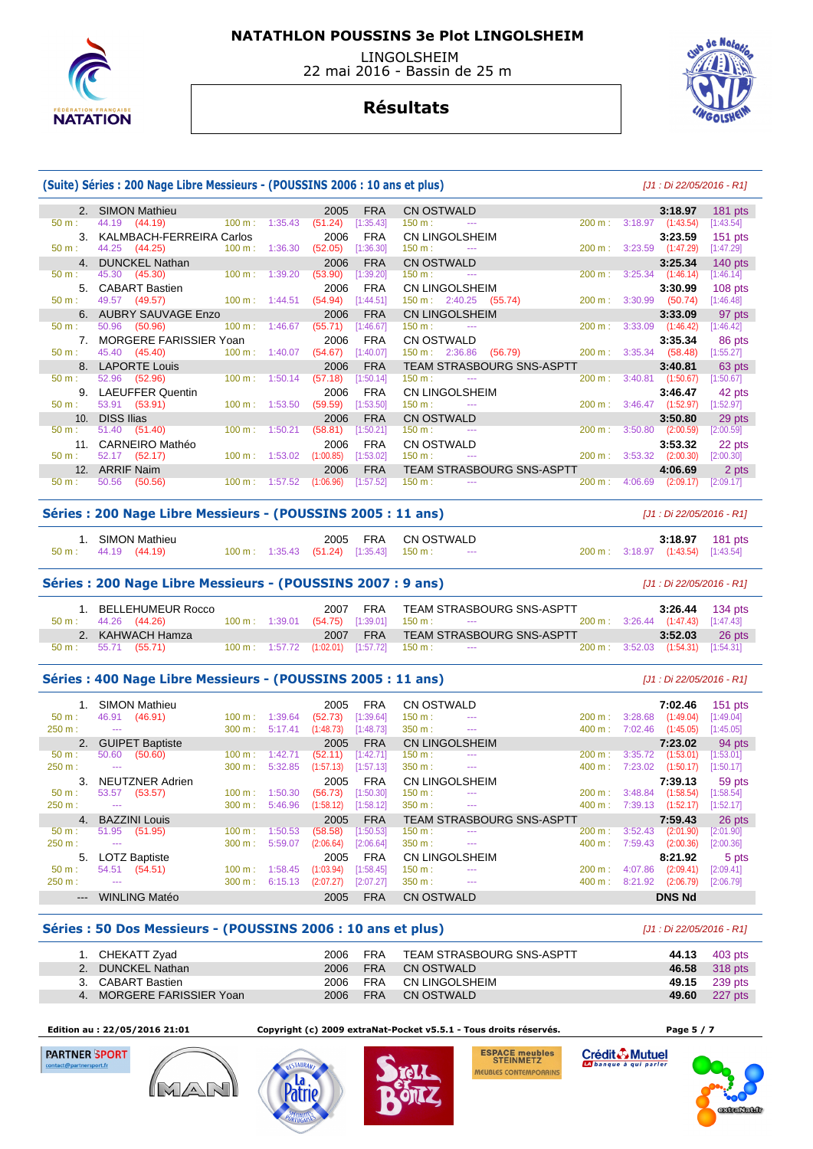

 LINGOLSHEIM 22 mai 2016 - Bassin de 25 m



## **Résultats**

#### **(Suite) Séries : 200 Nage Libre Messieurs - (POUSSINS 2006 : 10 ans et plus)** [J1 : Di 22/05/2016 - R1] 2. SIMON Mathieu 2005 FRA CN OSTWALD **3:18.97** 181 pts 50 m : 44.19 (44.19) 100 m : 1:35.43 (51.24) [1:35.43] 150 m : -- 200 m : 3:18.97 (1:43.54) [1:43.54] 3. KALMBACH-FERREIRA Carlos 2006 FRA CN LINGOLSHEIM **3:23.59** 151 pts 50 m : 44.25 (44.25) 100 m : 1:36.30 (52.05) [1:36.30] 150 m : --- 200 m : 3:23.59 (1:47.29) [1:47.29] 4. DUNCKEL Nathan 2006 FRA CN OSTWALD **3:25.34** 140 pts 50 m : 45.30 (45.30) 100 m : 1:39.20 (53.90) [1:39.20] 150 m : --- 200 m : 3:25.34 (1:46.14) [1:46.14] 5. CABART Bastien 2006 FRA CN LINGOLSHEIM **3:30.99** 108 pts 50 m : 49.57 (49.57) 100 m : 1:44.51 (54.94) [1:44.51] 150 m : 2:40.25 (55.74) 200 m : 3:30.99 (50.74) [1:46.48] 6. AUBRY SAUVAGE Enzo 2006 FRA CN LINGOLSHEIM **3:33.09** 97 pts 50 m : 50.96 (50.96) 100 m : 1:46.67 (55.71) [1:46.67] 150 m : --- 200 m : 3:33.09 (1:46.42) [1:46.42] 7. MORGERE FARISSIER Yoan 2006 FRA CN OSTWALD **3:35.34** 86 pts 45.40 (45.40) 100 m : 1:40.07 (54.67) [1:40.07] 150 m : 2:36.86 (56.79) 200 m : 3:35.34 (58.48) 8. LAPORTE Louis 2006 FRA TEAM STRASBOURG SNS-ASPTT **3:40.81** 63 pts 50 m : 52.96 (52.96) 100 m : 1:50.14 (57.18) [1:50.14] 150 m : --- 200 m : 3:40.81 (1:50.67) [1:50.67] 9. LAEUFFER Quentin 2006 FRA CN LINGOLSHEIM **3:46.47** 42 pts 50 m : 53.91 (53.91) 100 m : 1:53.50 (59.59) [1:53.50] 150 m : --- 200 m : 3:46.47 (1:52.97) [1:52.97] 10. DISS Ilias 2006 FRA CN OSTWALD **3:50.80** 29 pts 50 m : 51.40 (51.40) 100 m : 1:50.21 (58.81) [1:50.21] 150 m : --- 200 m : 3:50.80 (2:00.59) [2:00.59] 11. CARNEIRO Mathéo 2006 FRA CN OSTWALD **3:53.32** 22 pts 50 m : 52.17 (52.17) 100 m : 1:53.02 (1:00.85) [1:53.02] 150 m : --- 200 m : 3:53.32 (2:00.30) [2:00.30] 12. ARRIF Naim 2006 FRA TEAM STRASBOURG SNS-ASPTT **4:06.69** 2 pts 50 m : 50.56 (50.56) 100 m : 1:57.52 (1:06.96) [1:57.52] 150 m : --- 200 m : 4:06.69 (2:09.17) [2:09.17] **Séries : 200 Nage Libre Messieurs - (POUSSINS 2005 : 11 ans)** [J1 : Di 22/05/2016 - R1] 1. SIMON Mathieu 2005 FRA CN OSTWALD **3:18.97** 181 pts  $(1:43.54)$   $[1:43.54]$

#### **Séries : 200 Nage Libre Messieurs - (POUSSINS 2007 : 9 ans)** [J1 : Di 22/05/2016 - R1]

| 1. BELLEHUMEUR Rocco<br>50 m : 44.26 (44.26)      |  | 2007 |                                                                           | FRA TEAM STRASBOURG SNS-ASPTT<br>$100 \text{ m}: 1:39.01$ $(54.75)$ $[1:39.01]$ $150 \text{ m}: 1:100 \text{ m}: 1:100 \text{ m}: 1:100 \text{ m}: 1:100 \text{ m}: 1:100 \text{ m}: 1:100 \text{ m}: 1:100 \text{ m}: 1:100 \text{ m}: 1:100 \text{ m}: 1:100 \text{ m}: 1:100 \text{ m}: 1:100 \text{ m}: 1:100 \text{ m}: 1:100 \text{ m}: 1:100 \text{ m}: 1:100$ |  | 200 m : 3:26.44 (1:47.43) [1:47.43]           | 3:26.44 134 pts |
|---------------------------------------------------|--|------|---------------------------------------------------------------------------|-----------------------------------------------------------------------------------------------------------------------------------------------------------------------------------------------------------------------------------------------------------------------------------------------------------------------------------------------------------------------|--|-----------------------------------------------|-----------------|
| 2. KAHWACH Hamza<br>$50 \text{ m}: 55.71 (55.71)$ |  |      | $100 \text{ m}: 1:57.72$ $(1:02.01)$ $[1:57.72]$ $150 \text{ m}: 1:57.72$ | 2007 FRA TEAM STRASBOURG SNS-ASPTT                                                                                                                                                                                                                                                                                                                                    |  | 3:52.03<br>200 m: 3:52.03 (1:54.31) [1:54.31] | 26 pts          |

#### **Séries : 400 Nage Libre Messieurs - (POUSSINS 2005 : 11 ans)** [J1 : Di 22/05/2016 - R1]

|                           |         | <b>SIMON Mathieu</b>   |        |         | 2005      | <b>FRA</b> | CN OSTWALD        |                           |        |         | 7:02.46       | $151$ pts |
|---------------------------|---------|------------------------|--------|---------|-----------|------------|-------------------|---------------------------|--------|---------|---------------|-----------|
| $50 m$ :                  | 46.91   | (46.91)                | 100 m: | 1:39.64 | (52.73)   | [1:39.64]  | 150 m :           | $- - -$                   | 200 m: | 3:28.68 | (1:49.04)     | [1:49.04] |
| 250 m:                    | ---     |                        | 300 m: | 5:17.41 | (1:48.73) | [1:48.73]  | $350 m$ :         | $\cdots$                  | 400 m: | 7:02.46 | (1:45.05)     | [1:45.05] |
| 2.                        |         | <b>GUIPET Baptiste</b> |        |         | 2005      | <b>FRA</b> |                   | CN LINGOLSHEIM            |        |         | 7:23.02       | 94 pts    |
| $50 m$ :                  | 50.60   | (50.60)                | 100 m: | 1:42.71 | (52.11)   | [1:42.71]  | 150 m :           | $- - -$                   | 200 m: | 3:35.72 | (1:53.01)     | [1:53.01] |
| 250 m:                    | $- - -$ |                        | 300 m: | 5:32.85 | (1:57.13) | [1:57.13]  | 350 m:            | $\cdots$                  | 400 m: | 7:23.02 | (1:50.17)     | [1:50.17] |
|                           |         | NEUTZNER Adrien        |        |         | 2005      | <b>FRA</b> |                   | CN LINGOLSHEIM            |        |         | 7:39.13       | 59 pts    |
| $50 m$ :                  | 53.57   | (53.57)                | 100 m: | 1:50.30 | (56.73)   | [1:50.30]  | 150 m :           | $- - -$                   | 200 m: | 3:48.84 | (1:58.54)     | [1:58.54] |
| 250 m:                    | ---     |                        | 300 m: | 5:46.96 | (1:58.12) | [1:58.12]  | $350 m$ :         | $\cdots$                  | 400 m: | 7:39.13 | (1:52.17)     | [1:52.17] |
| $\mathbf{4}$              |         | <b>BAZZINI Louis</b>   |        |         | 2005      | <b>FRA</b> |                   | TEAM STRASBOURG SNS-ASPTT |        |         | 7:59.43       | 26 pts    |
| $50 m$ :                  | 51.95   | (51.95)                | 100 m: | 1:50.53 | (58.58)   | [1:50.53]  | 150 m :           | $- - -$                   | 200 m: | 3:52.43 | (2:01.90)     | [2:01.90] |
| 250 m:                    | ---     |                        | 300 m: | 5:59.07 | (2:06.64) | [2:06.64]  | 350 m:            | $\cdots$                  | 400 m: | 7:59.43 | (2:00.36)     | [2:00.36] |
| 5.                        |         | <b>LOTZ Baptiste</b>   |        |         | 2005      | <b>FRA</b> |                   | CN LINGOLSHEIM            |        |         | 8:21.92       | 5 pts     |
| $50 m$ :                  | 54.51   | (54.51)                | 100 m: | 1:58.45 | (1:03.94) | [1:58.45]  | 150 m :           | $- - -$                   | 200 m: | 4:07.86 | (2:09.41)     | [2:09.41] |
| 250 m:                    | $- - -$ |                        | 300 m: | 6:15.13 | (2:07.27) | [2:07.27]  | 350 m:            | $- - -$                   | 400 m: | 8:21.92 | (2:06.79)     | [2:06.79] |
| $\qquad \qquad -\qquad -$ |         | <b>WINLING Matéo</b>   |        |         | 2005      | <b>FRA</b> | <b>CN OSTWALD</b> |                           |        |         | <b>DNS Nd</b> |           |

#### **Séries : 50 Dos Messieurs - (POUSSINS 2006 : 10 ans et plus)** [J1 : Di 22/05/2016 - R1]

| 1. CHEKATT Zyad           |          | 2006 FRA | TEAM STRASBOURG SNS-ASPTT | 44.13 403 pts |
|---------------------------|----------|----------|---------------------------|---------------|
| 2. DUNCKEL Nathan         |          | 2006 FRA | CN OSTWALD                | 46.58 318 pts |
| 3. CABART Bastien         | 2006 FRA |          | CN LINGOLSHEIM            | 49.15 239 pts |
| 4. MORGERE FARISSIER Yoan | 2006 FRA |          | CN OSTWALD                | 49.60 227 pts |

 **Edition au : 22/05/2016 21:01 Copyright (c) 2009 extraNat-Pocket v5.5.1 - Tous droits réservés. Page 5 / 7** 

**PARTNER SPORT** 







Crédit & Mutuel

**ESPACE meubles**<br>STEINMETZ MEUBLES CONTEMPORAINS

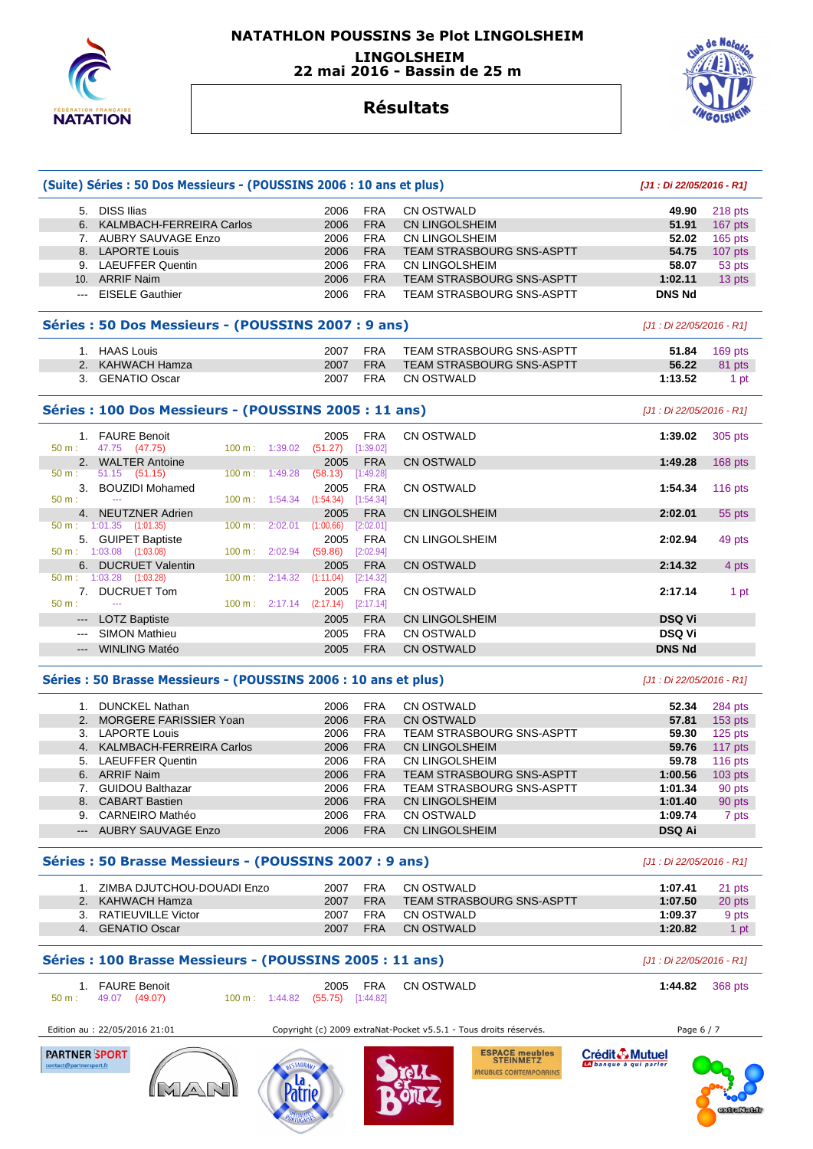

### **NATATHLON POUSSINS 3e Plot LINGOLSHEIM LINGOLSHEIM 22 mai 2016 - Bassin de 25 m**



## **Résultats**

|                                                                                                                                                                                                                                                                                                                                                                                                                                                                            | (Suite) Séries : 50 Dos Messieurs - (POUSSINS 2006 : 10 ans et plus)           |                                              |                                  | [J1 : Di 22/05/2016 - R1] |           |
|----------------------------------------------------------------------------------------------------------------------------------------------------------------------------------------------------------------------------------------------------------------------------------------------------------------------------------------------------------------------------------------------------------------------------------------------------------------------------|--------------------------------------------------------------------------------|----------------------------------------------|----------------------------------|---------------------------|-----------|
|                                                                                                                                                                                                                                                                                                                                                                                                                                                                            | 5. DISS Ilias                                                                  | 2006<br><b>FRA</b>                           | <b>CN OSTWALD</b>                | 49.90                     | 218 pts   |
|                                                                                                                                                                                                                                                                                                                                                                                                                                                                            | 6. KALMBACH-FERREIRA Carlos                                                    | <b>FRA</b><br>2006                           | <b>CN LINGOLSHEIM</b>            | 51.91                     | 167 pts   |
|                                                                                                                                                                                                                                                                                                                                                                                                                                                                            | 7. AUBRY SAUVAGE Enzo                                                          | 2006<br><b>FRA</b>                           | CN LINGOLSHEIM                   | 52.02                     | 165 pts   |
|                                                                                                                                                                                                                                                                                                                                                                                                                                                                            | 8. LAPORTE Louis                                                               | <b>FRA</b><br>2006                           | <b>TEAM STRASBOURG SNS-ASPTT</b> | 54.75                     | $107$ pts |
|                                                                                                                                                                                                                                                                                                                                                                                                                                                                            | 9. LAEUFFER Quentin                                                            | 2006<br><b>FRA</b>                           | CN LINGOLSHEIM                   | 58.07                     | 53 pts    |
|                                                                                                                                                                                                                                                                                                                                                                                                                                                                            | 10. ARRIF Naim                                                                 | 2006<br><b>FRA</b>                           | <b>TEAM STRASBOURG SNS-ASPTT</b> | 1:02.11                   | 13 pts    |
|                                                                                                                                                                                                                                                                                                                                                                                                                                                                            | <b>EISELE Gauthier</b>                                                         | <b>FRA</b><br>2006                           | <b>TEAM STRASBOURG SNS-ASPTT</b> | <b>DNS Nd</b>             |           |
|                                                                                                                                                                                                                                                                                                                                                                                                                                                                            | Séries : 50 Dos Messieurs - (POUSSINS 2007 : 9 ans)                            |                                              |                                  | [J1 : Di 22/05/2016 - R1] |           |
|                                                                                                                                                                                                                                                                                                                                                                                                                                                                            | 1. HAAS Louis                                                                  | <b>FRA</b><br>2007                           | <b>TEAM STRASBOURG SNS-ASPTT</b> | 51.84                     | 169 pts   |
| 2.                                                                                                                                                                                                                                                                                                                                                                                                                                                                         | <b>KAHWACH Hamza</b>                                                           | <b>FRA</b><br>2007                           | <b>TEAM STRASBOURG SNS-ASPTT</b> | 56.22                     | 81 pts    |
|                                                                                                                                                                                                                                                                                                                                                                                                                                                                            | 3. GENATIO Oscar                                                               | <b>FRA</b><br>2007                           | CN OSTWALD                       | 1:13.52                   | 1 pt      |
|                                                                                                                                                                                                                                                                                                                                                                                                                                                                            | Séries : 100 Dos Messieurs - (POUSSINS 2005 : 11 ans)                          |                                              |                                  | [J1 : Di 22/05/2016 - R1] |           |
|                                                                                                                                                                                                                                                                                                                                                                                                                                                                            | 1. FAURE Benoit                                                                | <b>FRA</b><br>2005                           | <b>CN OSTWALD</b>                | 1:39.02                   | 305 pts   |
| $50 m$ :                                                                                                                                                                                                                                                                                                                                                                                                                                                                   | 47.75 (47.75)<br>100 m: 1:39.02                                                | [1:39.02]<br>(51.27)                         |                                  |                           |           |
|                                                                                                                                                                                                                                                                                                                                                                                                                                                                            | 2. WALTER Antoine                                                              | 2005<br><b>FRA</b>                           | <b>CN OSTWALD</b>                | 1:49.28                   | $168$ pts |
| $50 m$ :                                                                                                                                                                                                                                                                                                                                                                                                                                                                   | $51.15$ (51.15)<br>1:49.28<br>$100 \text{ m}$ :                                | (58.13)<br>[1:49.28]                         |                                  |                           |           |
| 3.                                                                                                                                                                                                                                                                                                                                                                                                                                                                         | <b>BOUZIDI Mohamed</b><br>$\sim$                                               | 2005<br><b>FRA</b>                           | <b>CN OSTWALD</b>                | 1:54.34                   | 116 $pts$ |
| $50 m$ :                                                                                                                                                                                                                                                                                                                                                                                                                                                                   | $100 \text{ m}: 1:54.34$                                                       | (1:54.34)<br>[1:54.34]                       |                                  |                           |           |
|                                                                                                                                                                                                                                                                                                                                                                                                                                                                            | 4. NEUTZNER Adrien<br>$50 \text{ m}: 1:01.35$ $(1:01.35)$<br>100 m:<br>2:02.01 | <b>FRA</b><br>2005<br>(1:00.66)<br>[2:02.01] | <b>CN LINGOLSHEIM</b>            | 2:02.01                   | 55 pts    |
|                                                                                                                                                                                                                                                                                                                                                                                                                                                                            | 5. GUIPET Baptiste                                                             | 2005<br><b>FRA</b>                           | <b>CN LINGOLSHEIM</b>            | 2:02.94                   | 49 pts    |
|                                                                                                                                                                                                                                                                                                                                                                                                                                                                            | 50 m: 1:03.08 (1:03.08)<br>100 m: 2:02.94                                      | [2:02.94]<br>(59.86)                         |                                  |                           |           |
| 6.                                                                                                                                                                                                                                                                                                                                                                                                                                                                         | <b>DUCRUET Valentin</b>                                                        | <b>FRA</b><br>2005                           | <b>CN OSTWALD</b>                | 2:14.32                   | 4 pts     |
|                                                                                                                                                                                                                                                                                                                                                                                                                                                                            | $50 \text{ m}: 1:03.28$ $(1:03.28)$<br>2:14.32<br>$100 \text{ m}$ :            | (1:11.04)<br>[2:14.32]                       |                                  |                           |           |
| 7.                                                                                                                                                                                                                                                                                                                                                                                                                                                                         | <b>DUCRUET Tom</b>                                                             | 2005<br><b>FRA</b>                           | <b>CN OSTWALD</b>                | 2:17.14                   | 1 pt      |
| $50 m$ :                                                                                                                                                                                                                                                                                                                                                                                                                                                                   | 444                                                                            | $100 \text{ m}:$ 2:17.14 (2:17.14) [2:17.14] |                                  |                           |           |
| $\frac{1}{2} \left( \frac{1}{2} \right) \left( \frac{1}{2} \right) \left( \frac{1}{2} \right) \left( \frac{1}{2} \right) \left( \frac{1}{2} \right) \left( \frac{1}{2} \right) \left( \frac{1}{2} \right) \left( \frac{1}{2} \right) \left( \frac{1}{2} \right) \left( \frac{1}{2} \right) \left( \frac{1}{2} \right) \left( \frac{1}{2} \right) \left( \frac{1}{2} \right) \left( \frac{1}{2} \right) \left( \frac{1}{2} \right) \left( \frac{1}{2} \right) \left( \frac$ | <b>LOTZ Baptiste</b>                                                           | <b>FRA</b><br>2005                           | <b>CN LINGOLSHEIM</b>            | <b>DSQ Vi</b>             |           |
| $\frac{1}{2}$                                                                                                                                                                                                                                                                                                                                                                                                                                                              | <b>SIMON Mathieu</b>                                                           | 2005<br><b>FRA</b>                           | CN OSTWALD                       | <b>DSQ Vi</b>             |           |
| $\qquad \qquad - -$                                                                                                                                                                                                                                                                                                                                                                                                                                                        | <b>WINLING Matéo</b>                                                           | <b>FRA</b><br>2005                           | <b>CN OSTWALD</b>                | <b>DNS Nd</b>             |           |
|                                                                                                                                                                                                                                                                                                                                                                                                                                                                            | Séries : 50 Brasse Messieurs - (POUSSINS 2006 : 10 ans et plus)                |                                              |                                  | [J1 : Di 22/05/2016 - R1] |           |
|                                                                                                                                                                                                                                                                                                                                                                                                                                                                            | 1. DUNCKEL Nathan                                                              | <b>FRA</b><br>2006                           | <b>CN OSTWALD</b>                | 52.34                     | 284 pts   |
| 2.                                                                                                                                                                                                                                                                                                                                                                                                                                                                         | MORGERE FARISSIER Yoan                                                         | <b>FRA</b><br>2006                           | <b>CN OSTWALD</b>                | 57.81                     | 153 pts   |
|                                                                                                                                                                                                                                                                                                                                                                                                                                                                            | 3. LAPORTE Louis                                                               | 2006<br><b>FRA</b>                           | <b>TEAM STRASBOURG SNS-ASPTT</b> | 59.30                     | $125$ pts |
|                                                                                                                                                                                                                                                                                                                                                                                                                                                                            | 4. KALMBACH-FERREIRA Carlos                                                    | <b>FRA</b><br>2006                           | <b>CN LINGOLSHEIM</b>            | 59.76                     | 117 pts   |
|                                                                                                                                                                                                                                                                                                                                                                                                                                                                            | 5. LAEUFFER Quentin                                                            | <b>FRA</b><br>2006                           | <b>CN LINGOLSHEIM</b>            | 59.78                     | $116$ pts |
|                                                                                                                                                                                                                                                                                                                                                                                                                                                                            | 6. ARRIF Naim                                                                  | <b>FRA</b><br>2006                           | TEAM STRASBOURG SNS-ASPTT        | 1:00.56                   | $103$ pts |
|                                                                                                                                                                                                                                                                                                                                                                                                                                                                            | 7. GUIDOU Balthazar                                                            | 2006<br><b>FRA</b>                           | <b>TEAM STRASBOURG SNS-ASPTT</b> | 1:01.34                   | 90 pts    |
| 8.                                                                                                                                                                                                                                                                                                                                                                                                                                                                         | <b>CABART Bastien</b>                                                          | <b>FRA</b><br>2006                           | <b>CN LINGOLSHEIM</b>            | 1:01.40                   | 90 pts    |
|                                                                                                                                                                                                                                                                                                                                                                                                                                                                            | 9. CARNEIRO Mathéo                                                             | 2006<br><b>FRA</b>                           | <b>CN OSTWALD</b>                | 1:09.74                   | 7 pts     |

#### **Séries : 50 Brasse Messieurs - (POUSSINS 2007 : 9 ans)** [J1 : Di 22/05/2016 - R1]

| ZIMBA DJUTCHOU-DOUADI Enzo | 2007 | FRA        | CN OSTWALD                | 1:07.41 | 21 pts |
|----------------------------|------|------------|---------------------------|---------|--------|
| 2. KAHWACH Hamza           | 2007 | <b>FRA</b> | TEAM STRASBOURG SNS-ASPTT | 1:07.50 | 20 pts |
| RATIEUVILLE Victor         | 2007 | FRA        | CN OSTWALD                | 1:09.37 | 9 pts  |
| GENATIO Oscar              | 2007 | <b>FRA</b> | CN OSTWALD                | 1:20.82 | 1 pt   |

**Séries : 100 Brasse Messieurs - (POUSSINS 2005 : 11 ans)** [J1 : Di 22/05/2016 - R1]

# 1. FAURE Benoit 2005 FRA CN OSTWALD **1:44.82** 368 pts

## 50 m : 49.07 (49.07) 100 m : 1:44.82 (55.75) [1:44.82]

Edition au : 22/05/2016 21:01 Copyright (c) 2009 extraNat-Pocket v5.5.1 - Tous droits réservés. Page 6 / 7





**ESPACE meubles**<br>STEINMETZ MEUBLES CONTEMPORAINS

Crédit & Mutuel





--- AUBRY SAUVAGE Enzo 2006 FRA CN LINGOLSHEIM **DSQ Ai**